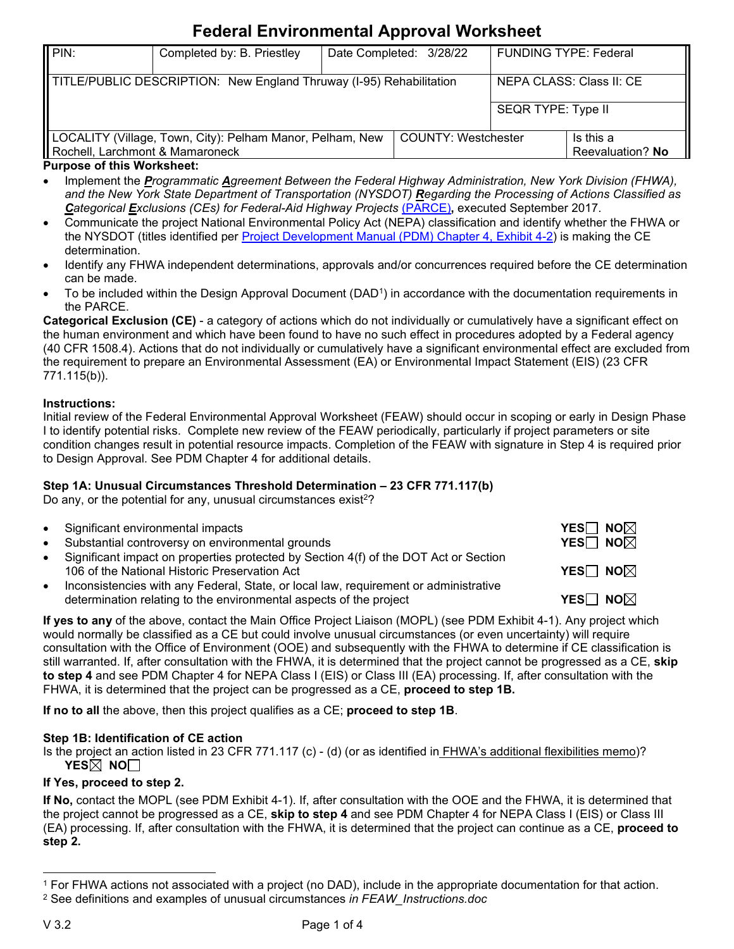# **Federal Environmental Approval Worksheet**

| II PIN:                                                                                                                                           | Completed by: B. Priestley |                            | Date Completed: 3/28/22 | <b>FUNDING TYPE: Federal</b> |                  |
|---------------------------------------------------------------------------------------------------------------------------------------------------|----------------------------|----------------------------|-------------------------|------------------------------|------------------|
| TITLE/PUBLIC DESCRIPTION: New England Thruway (I-95) Rehabilitation<br>NEPA CLASS: Class II: CE                                                   |                            |                            |                         |                              |                  |
|                                                                                                                                                   |                            |                            |                         | <b>SEQR TYPE: Type II</b>    |                  |
| LOCALITY (Village, Town, City): Pelham Manor, Pelham, New                                                                                         |                            | <b>COUNTY: Westchester</b> | Is this a               |                              |                  |
| Rochell, Larchmont & Mamaroneck<br>Process and an and the U.S. and a selected to the selection of the selection of the selection of the selection |                            |                            |                         |                              | Reevaluation? No |

### **Purpose of this Worksheet:**

- Implement the *Programmatic Agreement Between the Federal Highway Administration, New York Division (FHWA), and the New York State Department of Transportation (NYSDOT) Regarding the Processing of Actions Classified as Categorical Exclusions (CEs) for Federal-Aid Highway Projects* [\(PARCE\)](https://www.dot.ny.gov/divisions/engineering/environmental-analysis/manuals-and-guidance/epm/repository/FHWA_NEPACategoricalExclusions_September2017.pdf)**,** executed September 2017.
- Communicate the project National Environmental Policy Act (NEPA) classification and identify whether the FHWA or the NYSDOT (titles identified per [Project Development Manual \(PDM\) Chapter 4, Exhibit 4-2\)](https://www.dot.ny.gov/divisions/engineering/design/dqab/pdm) is making the CE determination.
- Identify any FHWA independent determinations, approvals and/or concurrences required before the CE determination can be made.
- To be included within the Design Approval Document (DAD<sup>1</sup>) in accordance with the documentation requirements in the PARCE.

**Categorical Exclusion (CE)** - a category of actions which do not individually or cumulatively have a significant effect on the human environment and which have been found to have no such effect in procedures adopted by a Federal agency (40 CFR 1508.4). Actions that do not individually or cumulatively have a significant environmental effect are excluded from the requirement to prepare an Environmental Assessment (EA) or Environmental Impact Statement (EIS) (23 CFR 771.115(b)).

### **Instructions:**

Initial review of the Federal Environmental Approval Worksheet (FEAW) should occur in scoping or early in Design Phase I to identify potential risks. Complete new review of the FEAW periodically, particularly if project parameters or site condition changes result in potential resource impacts. Completion of the FEAW with signature in Step 4 is required prior to Design Approval. See PDM Chapter 4 for additional details.

## **Step 1A: Unusual Circumstances Threshold Determination – 23 CFR 771.117(b)**

Do any, or the potential for any, unusual circumstances exist<sup>2</sup>?

|           | • Significant environmental impacts                                                                                                                        | <b>YES</b> NO $\neg$             |
|-----------|------------------------------------------------------------------------------------------------------------------------------------------------------------|----------------------------------|
|           | • Substantial controversy on environmental grounds                                                                                                         | <b>YES</b> $\Box$ NO $\boxtimes$ |
|           | • Significant impact on properties protected by Section 4(f) of the DOT Act or Section<br>106 of the National Historic Preservation Act                    | <b>YES</b> $\Box$ NO $\boxtimes$ |
| $\bullet$ | Inconsistencies with any Federal, State, or local law, requirement or administrative<br>determination relating to the environmental aspects of the project | <b>YES</b> $\Box$ No $\boxtimes$ |

**If yes to any** of the above, contact the Main Office Project Liaison (MOPL) (see PDM Exhibit 4-1). Any project which would normally be classified as a CE but could involve unusual circumstances (or even uncertainty) will require consultation with the Office of Environment (OOE) and subsequently with the FHWA to determine if CE classification is still warranted. If, after consultation with the FHWA, it is determined that the project cannot be progressed as a CE, **skip to step 4** and see PDM Chapter 4 for NEPA Class I (EIS) or Class III (EA) processing. If, after consultation with the FHWA, it is determined that the project can be progressed as a CE, **proceed to step 1B.**

**If no to all** the above, then this project qualifies as a CE; **proceed to step 1B**.

### **Step 1B: Identification of CE action**

Is the project an action listed in 23 CFR 771.117 (c) - (d) (or as identified in [FHWA's additional flexibilities memo\)](https://www.environment.fhwa.dot.gov/legislation/nepa/memo_additional-flex.aspx)? **YES**<sup><del>**No∪**</sup></sup></del>

## **If Yes, proceed to step 2.**

**If No,** contact the MOPL (see PDM Exhibit 4-1). If, after consultation with the OOE and the FHWA, it is determined that the project cannot be progressed as a CE, **skip to step 4** and see PDM Chapter 4 for NEPA Class I (EIS) or Class III (EA) processing. If, after consultation with the FHWA, it is determined that the project can continue as a CE, **proceed to step 2.**

<sup>1</sup> For FHWA actions not associated with a project (no DAD), include in the appropriate documentation for that action.

<sup>2</sup> See definitions and examples of unusual circumstances *in FEAW\_Instructions.doc*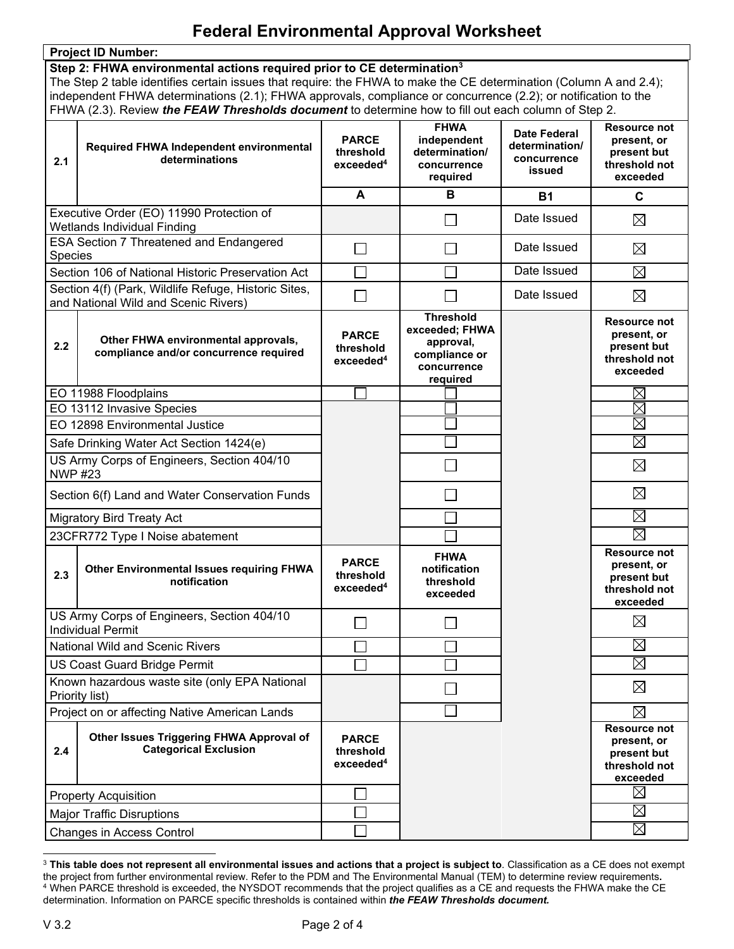## **Federal Environmental Approval Worksheet**

|                                                                                    | <b>Project ID Number:</b>                                                                                                                                                                                                            |                                                    | $\sim$                                                                                      |                                                                |                                                                                |
|------------------------------------------------------------------------------------|--------------------------------------------------------------------------------------------------------------------------------------------------------------------------------------------------------------------------------------|----------------------------------------------------|---------------------------------------------------------------------------------------------|----------------------------------------------------------------|--------------------------------------------------------------------------------|
| Step 2: FHWA environmental actions required prior to CE determination <sup>3</sup> |                                                                                                                                                                                                                                      |                                                    |                                                                                             |                                                                |                                                                                |
|                                                                                    | The Step 2 table identifies certain issues that require: the FHWA to make the CE determination (Column A and 2.4);<br>independent FHWA determinations (2.1); FHWA approvals, compliance or concurrence (2.2); or notification to the |                                                    |                                                                                             |                                                                |                                                                                |
|                                                                                    | FHWA (2.3). Review the FEAW Thresholds document to determine how to fill out each column of Step 2.                                                                                                                                  |                                                    |                                                                                             |                                                                |                                                                                |
| 2.1                                                                                | Required FHWA Independent environmental<br>determinations                                                                                                                                                                            | <b>PARCE</b><br>threshold<br>exceeded <sup>4</sup> | <b>FHWA</b><br>independent<br>determination/<br>concurrence<br>required                     | <b>Date Federal</b><br>determination/<br>concurrence<br>issued | <b>Resource not</b><br>present, or<br>present but<br>threshold not<br>exceeded |
|                                                                                    |                                                                                                                                                                                                                                      | A                                                  | В                                                                                           | <b>B1</b>                                                      | C                                                                              |
|                                                                                    | Executive Order (EO) 11990 Protection of<br><b>Wetlands Individual Finding</b>                                                                                                                                                       |                                                    |                                                                                             | Date Issued                                                    | $\boxtimes$                                                                    |
|                                                                                    | <b>ESA Section 7 Threatened and Endangered</b>                                                                                                                                                                                       | $\Box$                                             |                                                                                             | Date Issued                                                    | $\boxtimes$                                                                    |
| <b>Species</b>                                                                     | Section 106 of National Historic Preservation Act                                                                                                                                                                                    |                                                    |                                                                                             | Date Issued                                                    | $\boxtimes$                                                                    |
|                                                                                    | Section 4(f) (Park, Wildlife Refuge, Historic Sites,                                                                                                                                                                                 | П                                                  |                                                                                             | Date Issued                                                    | $\boxtimes$                                                                    |
|                                                                                    | and National Wild and Scenic Rivers)                                                                                                                                                                                                 |                                                    |                                                                                             |                                                                |                                                                                |
| 2.2                                                                                | Other FHWA environmental approvals,<br>compliance and/or concurrence required                                                                                                                                                        | <b>PARCE</b><br>threshold<br>exceeded <sup>4</sup> | <b>Threshold</b><br>exceeded; FHWA<br>approval,<br>compliance or<br>concurrence<br>required |                                                                | <b>Resource not</b><br>present, or<br>present but<br>threshold not<br>exceeded |
|                                                                                    | EO 11988 Floodplains                                                                                                                                                                                                                 |                                                    |                                                                                             |                                                                | $\boxtimes$                                                                    |
|                                                                                    | EO 13112 Invasive Species                                                                                                                                                                                                            |                                                    |                                                                                             |                                                                | $\boxtimes$                                                                    |
|                                                                                    | EO 12898 Environmental Justice                                                                                                                                                                                                       |                                                    |                                                                                             |                                                                | $\boxtimes$                                                                    |
| Safe Drinking Water Act Section 1424(e)                                            |                                                                                                                                                                                                                                      |                                                    |                                                                                             |                                                                | $\boxtimes$                                                                    |
| US Army Corps of Engineers, Section 404/10<br><b>NWP #23</b>                       |                                                                                                                                                                                                                                      |                                                    |                                                                                             |                                                                | $\boxtimes$                                                                    |
| Section 6(f) Land and Water Conservation Funds                                     |                                                                                                                                                                                                                                      |                                                    |                                                                                             |                                                                | $\boxtimes$                                                                    |
| <b>Migratory Bird Treaty Act</b>                                                   |                                                                                                                                                                                                                                      |                                                    |                                                                                             |                                                                | $\boxtimes$                                                                    |
| 23CFR772 Type I Noise abatement                                                    |                                                                                                                                                                                                                                      |                                                    |                                                                                             |                                                                | $\boxtimes$                                                                    |
| 2.3                                                                                | <b>Other Environmental Issues requiring FHWA</b><br>notification                                                                                                                                                                     | <b>PARCE</b><br>threshold<br>exceeded <sup>4</sup> | <b>FHWA</b><br>notification<br>threshold<br>exceeded                                        |                                                                | <b>Resource not</b><br>present, or<br>present but<br>threshold not<br>exceeded |
| US Army Corps of Engineers, Section 404/10<br><b>Individual Permit</b>             |                                                                                                                                                                                                                                      |                                                    |                                                                                             |                                                                | $\boxtimes$                                                                    |
| <b>National Wild and Scenic Rivers</b>                                             |                                                                                                                                                                                                                                      |                                                    |                                                                                             |                                                                | $\boxtimes$                                                                    |
| US Coast Guard Bridge Permit                                                       |                                                                                                                                                                                                                                      |                                                    |                                                                                             |                                                                | $\boxtimes$                                                                    |
|                                                                                    | Known hazardous waste site (only EPA National<br>Priority list)                                                                                                                                                                      |                                                    |                                                                                             |                                                                | $\boxtimes$                                                                    |
|                                                                                    | Project on or affecting Native American Lands                                                                                                                                                                                        |                                                    |                                                                                             |                                                                | $\boxtimes$                                                                    |
| 2.4                                                                                | Other Issues Triggering FHWA Approval of<br><b>Categorical Exclusion</b>                                                                                                                                                             | <b>PARCE</b><br>threshold<br>exceeded <sup>4</sup> |                                                                                             |                                                                | <b>Resource not</b><br>present, or<br>present but<br>threshold not<br>exceeded |
| <b>Property Acquisition</b>                                                        |                                                                                                                                                                                                                                      |                                                    |                                                                                             |                                                                | $\boxtimes$                                                                    |
| <b>Major Traffic Disruptions</b>                                                   |                                                                                                                                                                                                                                      |                                                    |                                                                                             |                                                                | $\boxtimes$                                                                    |
| Changes in Access Control                                                          |                                                                                                                                                                                                                                      |                                                    |                                                                                             |                                                                | $\boxtimes$                                                                    |

<sup>3</sup> **This table does not represent all environmental issues and actions that a project is subject to**. Classification as a CE does not exempt the project from further environmental review. Refer to the PDM and The Environmental Manual (TEM) to determine review requirements**.**  $^4$  When PARCE threshold is exceeded, the NYSDOT recommends that the project qualifies as a CE and requests the FHWA make the CE  $\,$ determination. Information on PARCE specific thresholds is contained within *the FEAW Thresholds document.*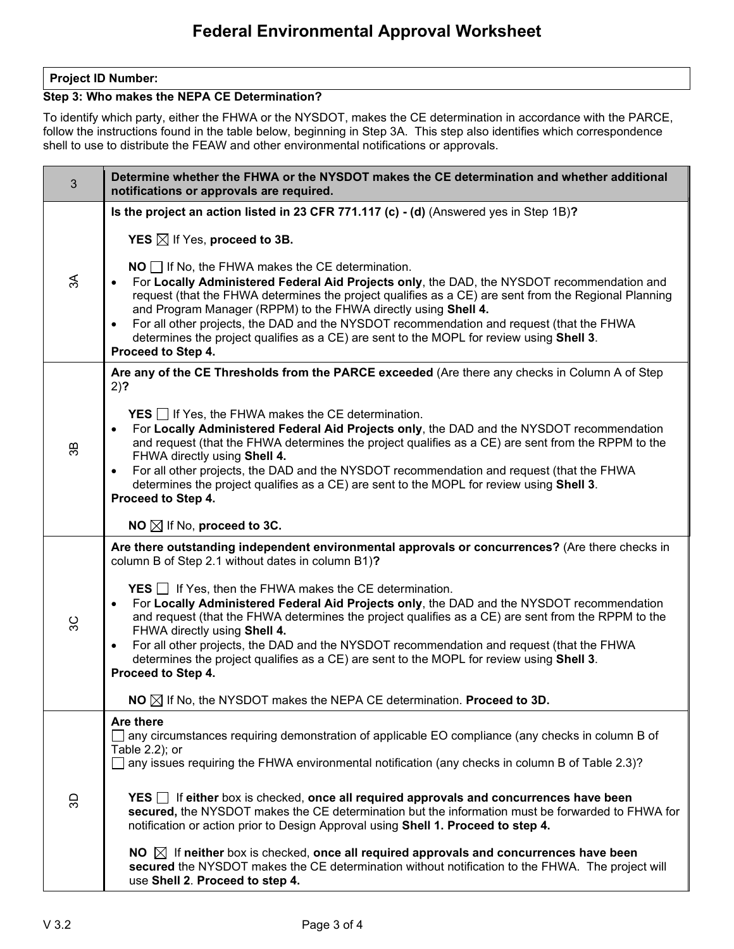### **Project ID Number:**

## **Step 3: Who makes the NEPA CE Determination?**

To identify which party, either the FHWA or the NYSDOT, makes the CE determination in accordance with the PARCE, follow the instructions found in the table below, beginning in Step 3A. This step also identifies which correspondence shell to use to distribute the FEAW and other environmental notifications or approvals.

| 3  | Determine whether the FHWA or the NYSDOT makes the CE determination and whether additional<br>notifications or approvals are required.                                                                                                                                                                                                                                                                                                                                                                                                              |  |  |
|----|-----------------------------------------------------------------------------------------------------------------------------------------------------------------------------------------------------------------------------------------------------------------------------------------------------------------------------------------------------------------------------------------------------------------------------------------------------------------------------------------------------------------------------------------------------|--|--|
|    | Is the project an action listed in 23 CFR 771.117 (c) - (d) (Answered yes in Step 1B)?                                                                                                                                                                                                                                                                                                                                                                                                                                                              |  |  |
|    | <b>YES</b> $\boxtimes$ If Yes, proceed to 3B.                                                                                                                                                                                                                                                                                                                                                                                                                                                                                                       |  |  |
| న్ | $NO$ If No, the FHWA makes the CE determination.<br>For Locally Administered Federal Aid Projects only, the DAD, the NYSDOT recommendation and<br>request (that the FHWA determines the project qualifies as a CE) are sent from the Regional Planning<br>and Program Manager (RPPM) to the FHWA directly using Shell 4.<br>For all other projects, the DAD and the NYSDOT recommendation and request (that the FHWA<br>$\bullet$<br>determines the project qualifies as a CE) are sent to the MOPL for review using Shell 3.<br>Proceed to Step 4. |  |  |
|    | Are any of the CE Thresholds from the PARCE exceeded (Are there any checks in Column A of Step<br>$2)$ ?                                                                                                                                                                                                                                                                                                                                                                                                                                            |  |  |
| æ, | <b>YES</b> $\Box$ If Yes, the FHWA makes the CE determination.<br>For Locally Administered Federal Aid Projects only, the DAD and the NYSDOT recommendation<br>$\bullet$<br>and request (that the FHWA determines the project qualifies as a CE) are sent from the RPPM to the<br>FHWA directly using Shell 4.<br>For all other projects, the DAD and the NYSDOT recommendation and request (that the FHWA<br>$\bullet$<br>determines the project qualifies as a CE) are sent to the MOPL for review using Shell 3.<br>Proceed to Step 4.           |  |  |
|    | NO $\boxtimes$ If No, proceed to 3C.                                                                                                                                                                                                                                                                                                                                                                                                                                                                                                                |  |  |
|    | Are there outstanding independent environmental approvals or concurrences? (Are there checks in<br>column B of Step 2.1 without dates in column B1)?<br><b>YES</b> $\Box$ If Yes, then the FHWA makes the CE determination.<br>For Locally Administered Federal Aid Projects only, the DAD and the NYSDOT recommendation<br>$\bullet$<br>and request (that the FHWA determines the project qualifies as a CE) are sent from the RPPM to the                                                                                                         |  |  |
| 9C | FHWA directly using Shell 4.                                                                                                                                                                                                                                                                                                                                                                                                                                                                                                                        |  |  |
|    | For all other projects, the DAD and the NYSDOT recommendation and request (that the FHWA<br>$\bullet$<br>determines the project qualifies as a CE) are sent to the MOPL for review using Shell 3.<br>Proceed to Step 4.                                                                                                                                                                                                                                                                                                                             |  |  |
|    | $NO \boxtimes$ If No, the NYSDOT makes the NEPA CE determination. Proceed to 3D.                                                                                                                                                                                                                                                                                                                                                                                                                                                                    |  |  |
| 9D | Are there<br>$\Box$ any circumstances requiring demonstration of applicable EO compliance (any checks in column B of<br>Table 2.2); or<br>any issues requiring the FHWA environmental notification (any checks in column B of Table 2.3)?                                                                                                                                                                                                                                                                                                           |  |  |
|    | <b>YES</b> $\Box$ If either box is checked, once all required approvals and concurrences have been<br>secured, the NYSDOT makes the CE determination but the information must be forwarded to FHWA for<br>notification or action prior to Design Approval using Shell 1. Proceed to step 4.                                                                                                                                                                                                                                                         |  |  |
|    | NO $\boxtimes$ If neither box is checked, once all required approvals and concurrences have been<br>secured the NYSDOT makes the CE determination without notification to the FHWA. The project will<br>use Shell 2. Proceed to step 4.                                                                                                                                                                                                                                                                                                             |  |  |